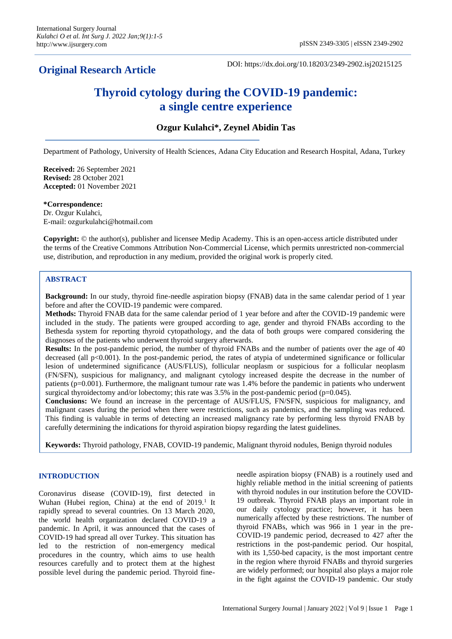# **Original Research Article**

DOI: https://dx.doi.org/10.18203/2349-2902.isj20215125

# **Thyroid cytology during the COVID-19 pandemic: a single centre experience**

**Ozgur Kulahci\*, Zeynel Abidin Tas**

Department of Pathology, University of Health Sciences, Adana City Education and Research Hospital, Adana, Turkey

**Received:** 26 September 2021 **Revised:** 28 October 2021 **Accepted:** 01 November 2021

#### **\*Correspondence:**

Dr. Ozgur Kulahci, E-mail: ozgurkulahci@hotmail.com

**Copyright:** © the author(s), publisher and licensee Medip Academy. This is an open-access article distributed under the terms of the Creative Commons Attribution Non-Commercial License, which permits unrestricted non-commercial use, distribution, and reproduction in any medium, provided the original work is properly cited.

## **ABSTRACT**

**Background:** In our study, thyroid fine-needle aspiration biopsy (FNAB) data in the same calendar period of 1 year before and after the COVID-19 pandemic were compared.

**Methods:** Thyroid FNAB data for the same calendar period of 1 year before and after the COVID-19 pandemic were included in the study. The patients were grouped according to age, gender and thyroid FNABs according to the Bethesda system for reporting thyroid cytopathology, and the data of both groups were compared considering the diagnoses of the patients who underwent thyroid surgery afterwards.

**Results:** In the post-pandemic period, the number of thyroid FNABs and the number of patients over the age of 40 decreased (all p<0.001). In the post-pandemic period, the rates of atypia of undetermined significance or follicular lesion of undetermined significance (AUS/FLUS), follicular neoplasm or suspicious for a follicular neoplasm (FN/SFN), suspicious for malignancy, and malignant cytology increased despite the decrease in the number of patients (p=0.001). Furthermore, the malignant tumour rate was 1.4% before the pandemic in patients who underwent surgical thyroidectomy and/or lobectomy; this rate was 3.5% in the post-pandemic period (p=0.045).

**Conclusions:** We found an increase in the percentage of AUS/FLUS, FN/SFN, suspicious for malignancy, and malignant cases during the period when there were restrictions, such as pandemics, and the sampling was reduced. This finding is valuable in terms of detecting an increased malignancy rate by performing less thyroid FNAB by carefully determining the indications for thyroid aspiration biopsy regarding the latest guidelines.

**Keywords:** Thyroid pathology, FNAB, COVID-19 pandemic, Malignant thyroid nodules, Benign thyroid nodules

#### **INTRODUCTION**

Coronavirus disease (COVID-19), first detected in Wuhan (Hubei region, China) at the end of  $2019<sup>1</sup>$  It rapidly spread to several countries. On 13 March 2020, the world health organization declared COVID-19 a pandemic. In April, it was announced that the cases of COVID-19 had spread all over Turkey. This situation has led to the restriction of non-emergency medical procedures in the country, which aims to use health resources carefully and to protect them at the highest possible level during the pandemic period. Thyroid fineneedle aspiration biopsy (FNAB) is a routinely used and highly reliable method in the initial screening of patients with thyroid nodules in our institution before the COVID-19 outbreak. Thyroid FNAB plays an important role in our daily cytology practice; however, it has been numerically affected by these restrictions. The number of thyroid FNABs, which was 966 in 1 year in the pre-COVID-19 pandemic period, decreased to 427 after the restrictions in the post-pandemic period. Our hospital, with its 1,550-bed capacity, is the most important centre in the region where thyroid FNABs and thyroid surgeries are widely performed; our hospital also plays a major role in the fight against the COVID-19 pandemic. Our study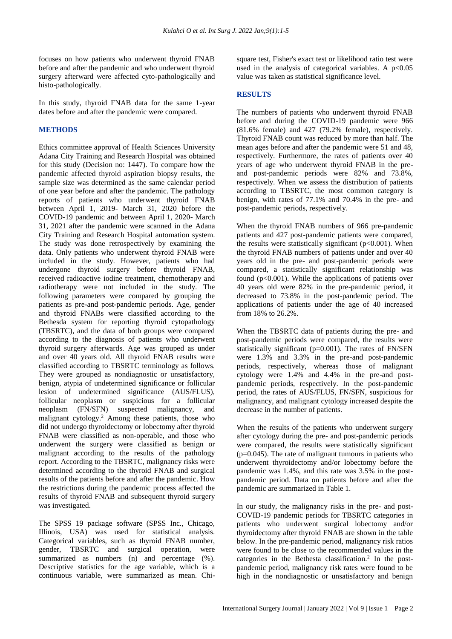focuses on how patients who underwent thyroid FNAB before and after the pandemic and who underwent thyroid surgery afterward were affected cyto-pathologically and histo-pathologically.

In this study, thyroid FNAB data for the same 1-year dates before and after the pandemic were compared.

#### **METHODS**

Ethics committee approval of Health Sciences University Adana City Training and Research Hospital was obtained for this study (Decision no: 1447). To compare how the pandemic affected thyroid aspiration biopsy results, the sample size was determined as the same calendar period of one year before and after the pandemic. The pathology reports of patients who underwent thyroid FNAB between April 1, 2019- March 31, 2020 before the COVID-19 pandemic and between April 1, 2020- March 31, 2021 after the pandemic were scanned in the Adana City Training and Research Hospital automation system. The study was done retrospectively by examining the data. Only patients who underwent thyroid FNAB were included in the study. However, patients who had undergone thyroid surgery before thyroid FNAB, received radioactive iodine treatment, chemotherapy and radiotherapy were not included in the study. The following parameters were compared by grouping the patients as pre-and post-pandemic periods. Age, gender and thyroid FNABs were classified according to the Bethesda system for reporting thyroid cytopathology (TBSRTC), and the data of both groups were compared according to the diagnosis of patients who underwent thyroid surgery afterwards. Age was grouped as under and over 40 years old. All thyroid FNAB results were classified according to TBSRTC terminology as follows. They were grouped as nondiagnostic or unsatisfactory, benign, atypia of undetermined significance or follicular lesion of undetermined significance (AUS/FLUS), follicular neoplasm or suspicious for a follicular neoplasm (FN/SFN) suspected malignancy, and malignant cytology.<sup>2</sup> Among these patients, those who did not undergo thyroidectomy or lobectomy after thyroid FNAB were classified as non-operable, and those who underwent the surgery were classified as benign or malignant according to the results of the pathology report. According to the TBSRTC, malignancy risks were determined according to the thyroid FNAB and surgical results of the patients before and after the pandemic. How the restrictions during the pandemic process affected the results of thyroid FNAB and subsequent thyroid surgery was investigated.

The SPSS 19 package software (SPSS Inc., Chicago, Illinois, USA) was used for statistical analysis. Categorical variables, such as thyroid FNAB number, gender, TBSRTC and surgical operation, were summarized as numbers (n) and percentage (%). Descriptive statistics for the age variable, which is a continuous variable, were summarized as mean. Chisquare test, Fisher's exact test or likelihood ratio test were used in the analysis of categorical variables. A  $p<0.05$ value was taken as statistical significance level.

#### **RESULTS**

The numbers of patients who underwent thyroid FNAB before and during the COVID-19 pandemic were 966 (81.6% female) and 427 (79.2% female), respectively. Thyroid FNAB count was reduced by more than half. The mean ages before and after the pandemic were 51 and 48, respectively. Furthermore, the rates of patients over 40 years of age who underwent thyroid FNAB in the preand post-pandemic periods were 82% and 73.8%, respectively. When we assess the distribution of patients according to TBSRTC, the most common category is benign, with rates of 77.1% and 70.4% in the pre- and post-pandemic periods, respectively.

When the thyroid FNAB numbers of 966 pre-pandemic patients and 427 post-pandemic patients were compared, the results were statistically significant  $(p<0.001)$ . When the thyroid FNAB numbers of patients under and over 40 years old in the pre- and post-pandemic periods were compared, a statistically significant relationship was found (p<0.001). While the applications of patients over 40 years old were 82% in the pre-pandemic period, it decreased to 73.8% in the post-pandemic period. The applications of patients under the age of 40 increased from 18% to 26.2%.

When the TBSRTC data of patients during the pre- and post-pandemic periods were compared, the results were statistically significant (p=0.001). The rates of FN/SFN were 1.3% and 3.3% in the pre-and post-pandemic periods, respectively, whereas those of malignant cytology were 1.4% and 4.4% in the pre-and postpandemic periods, respectively. In the post-pandemic period, the rates of AUS/FLUS, FN/SFN, suspicious for malignancy, and malignant cytology increased despite the decrease in the number of patients.

When the results of the patients who underwent surgery after cytology during the pre- and post-pandemic periods were compared, the results were statistically significant  $(p=0.045)$ . The rate of malignant tumours in patients who underwent thyroidectomy and/or lobectomy before the pandemic was 1.4%, and this rate was 3.5% in the postpandemic period. Data on patients before and after the pandemic are summarized in Table 1.

In our study, the malignancy risks in the pre- and post-COVID-19 pandemic periods for TBSRTC categories in patients who underwent surgical lobectomy and/or thyroidectomy after thyroid FNAB are shown in the table below. In the pre-pandemic period, malignancy risk ratios were found to be close to the recommended values in the categories in the Bethesta classification.<sup>2</sup> In the postpandemic period, malignancy risk rates were found to be high in the nondiagnostic or unsatisfactory and benign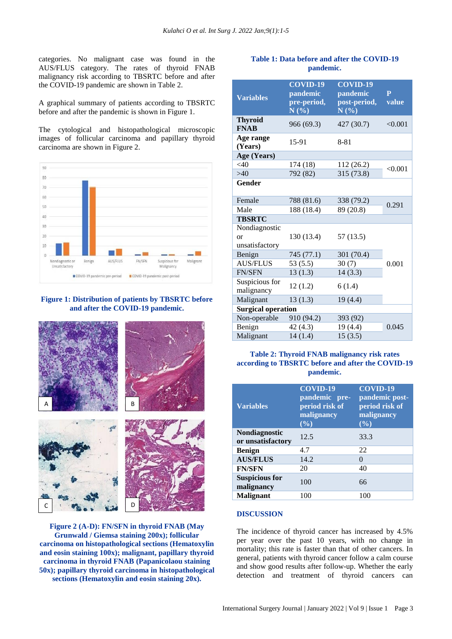categories. No malignant case was found in the AUS/FLUS category. The rates of thyroid FNAB malignancy risk according to TBSRTC before and after the COVID-19 pandemic are shown in Table 2.

A graphical summary of patients according to TBSRTC before and after the pandemic is shown in Figure 1.

The cytological and histopathological microscopic images of follicular carcinoma and papillary thyroid carcinoma are shown in Figure 2.



**Figure 1: Distribution of patients by TBSRTC before and after the COVID-19 pandemic.**



**Figure 2 (A-D): FN/SFN in thyroid FNAB (May Grunwald / Giemsa staining 200x); follicular carcinoma on histopathological sections (Hematoxylin and eosin staining 100x); malignant, papillary thyroid carcinoma in thyroid FNAB (Papanicolaou staining 50x); papillary thyroid carcinoma in histopathological sections (Hematoxylin and eosin staining 20x).**

# **Table 1: Data before and after the COVID-19 pandemic.**

| <b>Variables</b>                             | <b>COVID-19</b><br>pandemic<br>pre-period,<br>N(%) | <b>COVID-19</b><br>pandemic<br>post-period,<br>N(%) | $\mathbf{P}$<br>value |  |
|----------------------------------------------|----------------------------------------------------|-----------------------------------------------------|-----------------------|--|
| <b>Thyroid</b><br><b>FNAB</b>                | 966 (69.3)                                         | 427 (30.7)                                          | < 0.001               |  |
| Age range<br>(Years)                         | 15-91                                              | $8 - 81$                                            |                       |  |
| Age (Years)                                  |                                                    |                                                     |                       |  |
| $<$ 40                                       | 174 (18)                                           | 112 (26.2)                                          | < 0.001               |  |
| >40                                          | 792 (82)                                           | 315 (73.8)                                          |                       |  |
| Gender                                       |                                                    |                                                     |                       |  |
| Female                                       | 788 (81.6)                                         | 338 (79.2)                                          | 0.291                 |  |
| Male                                         | 188 (18.4)                                         | 89 (20.8)                                           |                       |  |
| <b>TBSRTC</b>                                |                                                    |                                                     |                       |  |
| Nondiagnostic<br><b>or</b><br>unsatisfactory | 130 (13.4)                                         | 57(13.5)                                            |                       |  |
| Benign                                       | 745 (77.1)                                         | 301 (70.4)                                          |                       |  |
| <b>AUS/FLUS</b>                              | 53(5.5)                                            | 30(7)                                               | 0.001                 |  |
| <b>FN/SFN</b>                                | 13(1.3)                                            | 14(3.3)                                             |                       |  |
| Suspicious for<br>malignancy                 | 12(1.2)                                            | 6(1.4)                                              |                       |  |
| Malignant                                    | 13(1.3)                                            | 19(4.4)                                             |                       |  |
| <b>Surgical operation</b>                    |                                                    |                                                     |                       |  |
| Non-operable                                 | 910 (94.2)                                         | 393 (92)                                            |                       |  |
| Benign                                       | 42(4.3)                                            | 19 (4.4)                                            | 0.045                 |  |
| Malignant                                    | 14(1.4)                                            | 15(3.5)                                             |                       |  |

# **Table 2: Thyroid FNAB malignancy risk rates according to TBSRTC before and after the COVID-19 pandemic.**

| <b>Variables</b>                          | <b>COVID-19</b><br>pandemic pre-<br>period risk of<br>malignancy<br>(%) | <b>COVID-19</b><br>pandemic post-<br>period risk of<br>malignancy<br>$(\overline{\frac{0}{0}})$ |
|-------------------------------------------|-------------------------------------------------------------------------|-------------------------------------------------------------------------------------------------|
| <b>Nondiagnostic</b><br>or unsatisfactory | 12.5                                                                    | 33.3                                                                                            |
| <b>Benign</b>                             | 4.7                                                                     | 22                                                                                              |
| <b>AUS/FLUS</b>                           | 14.2                                                                    | $\Omega$                                                                                        |
| <b>FN/SFN</b>                             | 20                                                                      | 40                                                                                              |
| <b>Suspicious for</b><br>malignancy       | 100                                                                     | 66                                                                                              |
| <b>Malignant</b>                          | 100                                                                     | 100                                                                                             |

#### **DISCUSSION**

The incidence of thyroid cancer has increased by 4.5% per year over the past 10 years, with no change in mortality; this rate is faster than that of other cancers. In general, patients with thyroid cancer follow a calm course and show good results after follow-up. Whether the early detection and treatment of thyroid cancers can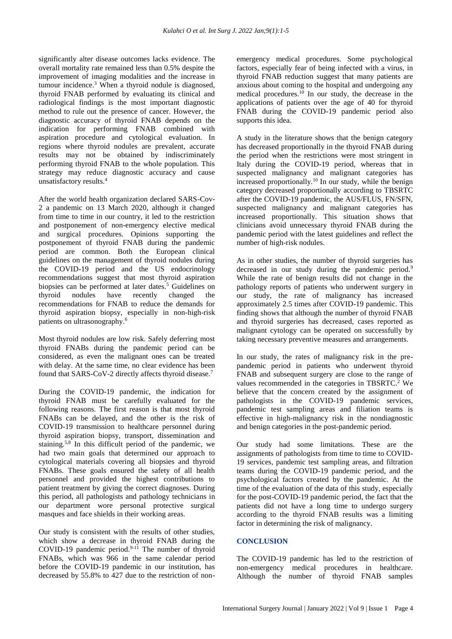significantly alter disease outcomes lacks evidence. The overall mortality rate remained less than 0.5% despite the improvement of imaging modalities and the increase in tumour incidence.<sup>3</sup> When a thyroid nodule is diagnosed, thyroid FNAB performed by evaluating its clinical and radiological findings is the most important diagnostic method to rule out the presence of cancer. However, the diagnostic accuracy of thyroid FNAB depends on the indication for performing FNAB combined with aspiration procedure and cytological evaluation. In regions where thyroid nodules are prevalent, accurate results may not be obtained by indiscriminately performing thyroid FNAB to the whole population. This strategy may reduce diagnostic accuracy and cause unsatisfactory results.<sup>4</sup>

After the world health organization declared SARS-Cov-2 a pandemic on 13 March 2020, although it changed from time to time in our country, it led to the restriction and postponement of non-emergency elective medical and surgical procedures. Opinions supporting the postponement of thyroid FNAB during the pandemic period are common. Both the European clinical guidelines on the management of thyroid nodules during the COVID-19 period and the US endocrinology recommendations suggest that most thyroid aspiration biopsies can be performed at later dates.<sup>5</sup> Guidelines on thyroid nodules have recently changed the recommendations for FNAB to reduce the demands for thyroid aspiration biopsy, especially in non-high-risk patients on ultrasonography.<sup>6</sup>

Most thyroid nodules are low risk. Safely deferring most thyroid FNABs during the pandemic period can be considered, as even the malignant ones can be treated with delay. At the same time, no clear evidence has been found that SARS-CoV-2 directly affects thyroid disease.<sup>7</sup>

During the COVID-19 pandemic, the indication for thyroid FNAB must be carefully evaluated for the following reasons. The first reason is that most thyroid FNABs can be delayed, and the other is the risk of COVID-19 transmission to healthcare personnel during thyroid aspiration biopsy, transport, dissemination and staining.5,8 In this difficult period of the pandemic, we had two main goals that determined our approach to cytological materials covering all biopsies and thyroid FNABs. These goals ensured the safety of all health personnel and provided the highest contributions to patient treatment by giving the correct diagnoses. During this period, all pathologists and pathology technicians in our department wore personal protective surgical masques and face shields in their working areas.

Our study is consistent with the results of other studies, which show a decrease in thyroid FNAB during the COVID-19 pandemic period.<sup>9-11</sup> The number of thyroid FNABs, which was 966 in the same calendar period before the COVID-19 pandemic in our institution, has decreased by 55.8% to 427 due to the restriction of nonemergency medical procedures. Some psychological factors, especially fear of being infected with a virus, in thyroid FNAB reduction suggest that many patients are anxious about coming to the hospital and undergoing any medical procedures.<sup>10</sup> In our study, the decrease in the applications of patients over the age of 40 for thyroid FNAB during the COVID-19 pandemic period also supports this idea.

A study in the literature shows that the benign category has decreased proportionally in the thyroid FNAB during the period when the restrictions were most stringent in Italy during the COVID-19 period, whereas that in suspected malignancy and malignant categories has increased proportionally.<sup>10</sup> In our study, while the benign category decreased proportionally according to TBSRTC after the COVID-19 pandemic, the AUS/FLUS, FN/SFN, suspected malignancy and malignant categories has increased proportionally. This situation shows that clinicians avoid unnecessary thyroid FNAB during the pandemic period with the latest guidelines and reflect the number of high-risk nodules.

As in other studies, the number of thyroid surgeries has decreased in our study during the pandemic period.<sup>9</sup> While the rate of benign results did not change in the pathology reports of patients who underwent surgery in our study, the rate of malignancy has increased approximately 2.5 times after COVID-19 pandemic. This finding shows that although the number of thyroid FNAB and thyroid surgeries has decreased, cases reported as malignant cytology can be operated on successfully by taking necessary preventive measures and arrangements.

In our study, the rates of malignancy risk in the prepandemic period in patients who underwent thyroid FNAB and subsequent surgery are close to the range of values recommended in the categories in TBSRTC.<sup>2</sup> We believe that the concern created by the assignment of pathologists in the COVID-19 pandemic services, pandemic test sampling areas and filiation teams is effective in high-malignancy risk in the nondiagnostic and benign categories in the post-pandemic period.

Our study had some limitations. These are the assignments of pathologists from time to time to COVID-19 services, pandemic test sampling areas, and filtration teams during the COVID-19 pandemic period, and the psychological factors created by the pandemic. At the time of the evaluation of the data of this study, especially for the post-COVID-19 pandemic period, the fact that the patients did not have a long time to undergo surgery according to the thyroid FNAB results was a limiting factor in determining the risk of malignancy.

### **CONCLUSION**

The COVID-19 pandemic has led to the restriction of non-emergency medical procedures in healthcare. Although the number of thyroid FNAB samples